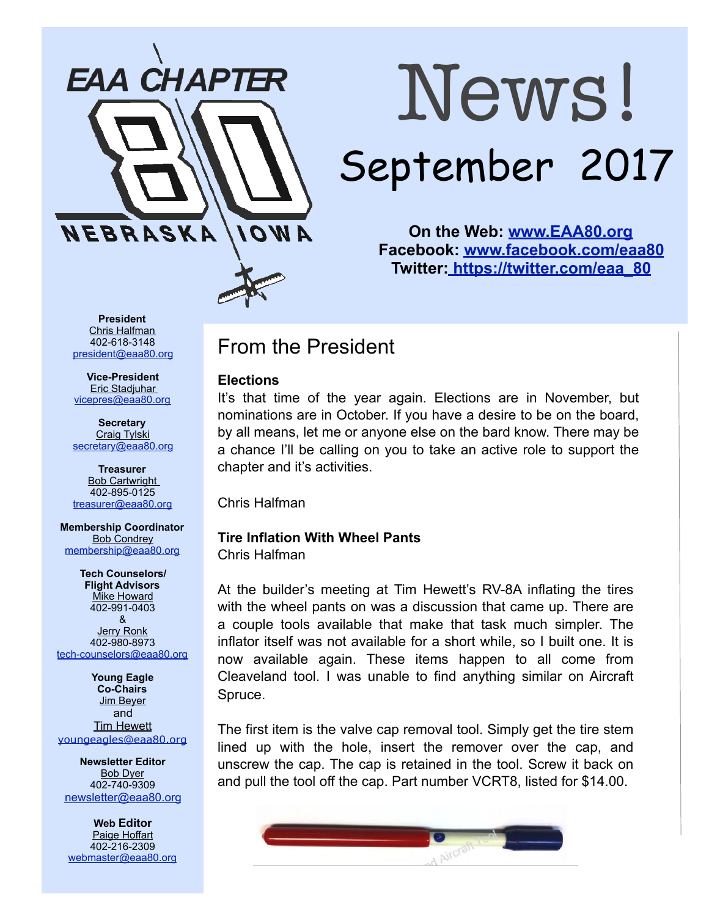

# News! September 2017

**On the Web: [www.EAA80.org](http://www.EAA80.org) Facebook: [www.facebook.com/eaa80](http://www.facebook.com/eaa80) Twitter[: https://twitter.com/eaa\\_80](https://twitter.com/eaa_80)**

**President**  Chris Halfman 402-618-3148 [president@eaa80.org](mailto:president@eaa80.org)

**Vice-President**  Eric Stadjuhar [vicepres@eaa80.org](mailto:vicepres@eaa80.org) 

**Secretary**  Craig Tylski [secretary@eaa80.org](mailto:secretary@eaa80.org)

**Treasurer**  Bob Cartwright 402-895-0125 [treasurer@eaa80.org](mailto:treasurer@eaa80.org)

**Membership Coordinator**  Bob Condrey [membership@eaa80.org](mailto:membership@eaa80.org) 

**Tech Counselors/ Flight Advisors Mike Howard** 402-991-0403 & Jerry Ronk 402-980-8973 [tech-counselors@eaa80.org](mailto:tech-counselors@eaa80.org) 

**Young Eagle Co-Chairs**  Jim Beyer and **Tim Hewett** [youngeagles@eaa80.org](mailto:youngeagles@eaa80.org)

**Newsletter Editor**  Bob Dyer 402-740-9309 [newsletter@eaa80.org](mailto:newsletter@eaa80.org)

**Web Editor**  Paige Hoffart 402-216-2309 [webmaster@eaa80.org](mailto:webmaster@eaa80.org)

# From the President

#### **Elections**

It's that time of the year again. Elections are in November, but nominations are in October. If you have a desire to be on the board, by all means, let me or anyone else on the bard know. There may be a chance I'll be calling on you to take an active role to support the chapter and it's activities.

Chris Halfman

## **Tire Inflation With Wheel Pants**

Chris Halfman

At the builder's meeting at Tim Hewett's RV-8A inflating the tires with the wheel pants on was a discussion that came up. There are a couple tools available that make that task much simpler. The inflator itself was not available for a short while, so I built one. It is now available again. These items happen to all come from Cleaveland tool. I was unable to find anything similar on Aircraft Spruce.

The first item is the valve cap removal tool. Simply get the tire stem lined up with the hole, insert the remover over the cap, and unscrew the cap. The cap is retained in the tool. Screw it back on and pull the tool off the cap. Part number VCRT8, listed for \$14.00.

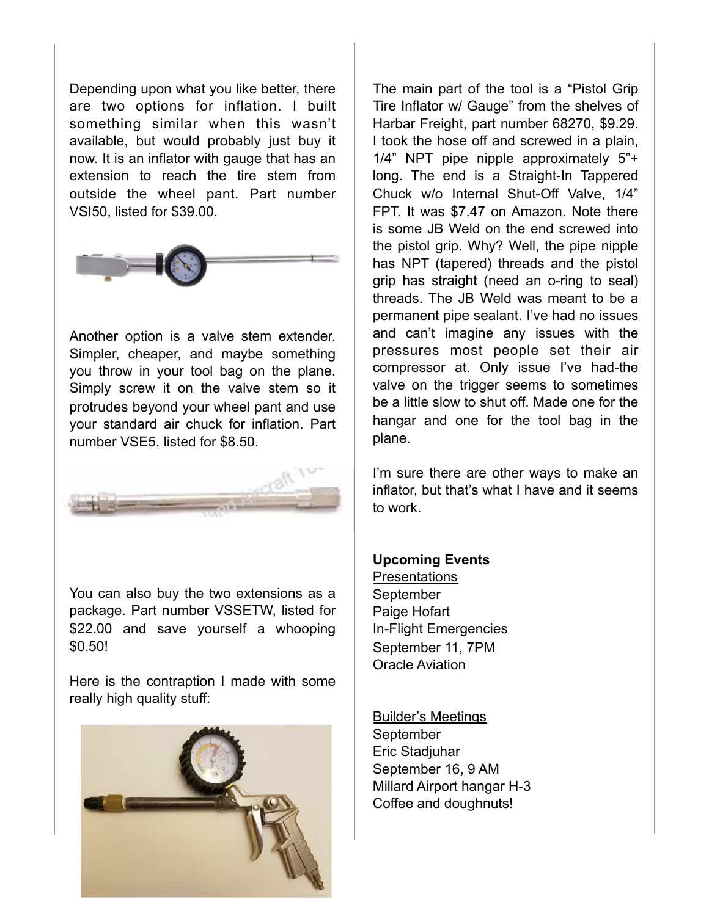Depending upon what you like better, there are two options for inflation. I built something similar when this wasn't available, but would probably just buy it now. It is an inflator with gauge that has an extension to reach the tire stem from outside the wheel pant. Part number VSI50, listed for \$39.00.



Another option is a valve stem extender. Simpler, cheaper, and maybe something you throw in your tool bag on the plane. Simply screw it on the valve stem so it protrudes beyond your wheel pant and use your standard air chuck for inflation. Part number VSE5, listed for \$8.50.



You can also buy the two extensions as a package. Part number VSSETW, listed for \$22.00 and save yourself a whooping \$0.50!

Here is the contraption I made with some really high quality stuff:



The main part of the tool is a "Pistol Grip Tire Inflator w/ Gauge" from the shelves of Harbar Freight, part number 68270, \$9.29. I took the hose off and screwed in a plain, 1/4" NPT pipe nipple approximately 5"+ long. The end is a Straight-In Tappered Chuck w/o Internal Shut-Off Valve, 1/4" FPT. It was \$7.47 on Amazon. Note there is some JB Weld on the end screwed into the pistol grip. Why? Well, the pipe nipple has NPT (tapered) threads and the pistol grip has straight (need an o-ring to seal) threads. The JB Weld was meant to be a permanent pipe sealant. I've had no issues and can't imagine any issues with the pressures most people set their air compressor at. Only issue I've had-the valve on the trigger seems to sometimes be a little slow to shut off. Made one for the hangar and one for the tool bag in the plane.

I'm sure there are other ways to make an inflator, but that's what I have and it seems to work.

#### **Upcoming Events**

Presentations **September** Paige Hofart In-Flight Emergencies September 11, 7PM Oracle Aviation

#### Builder's Meetings

**September** Eric Stadjuhar September 16, 9 AM Millard Airport hangar H-3 Coffee and doughnuts!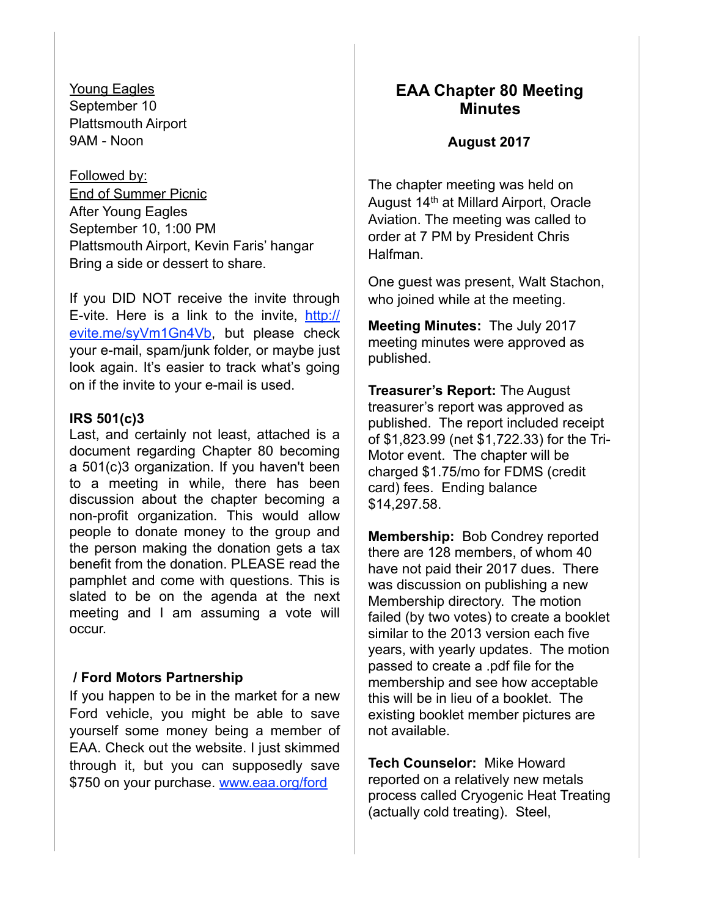Young Eagles September 10 Plattsmouth Airport 9AM - Noon

Followed by: End of Summer Picnic After Young Eagles September 10, 1:00 PM Plattsmouth Airport, Kevin Faris' hangar Bring a side or dessert to share.

If you DID NOT receive the invite through E-vite. Here is a link to the invite, [http://](http://evite.me/syVm1Gn4Vb) [evite.me/syVm1Gn4Vb,](http://evite.me/syVm1Gn4Vb) but please check your e-mail, spam/junk folder, or maybe just look again. It's easier to track what's going on if the invite to your e-mail is used.

#### **IRS 501(c)3**

Last, and certainly not least, attached is a document regarding Chapter 80 becoming a 501(c)3 organization. If you haven't been to a meeting in while, there has been discussion about the chapter becoming a non-profit organization. This would allow people to donate money to the group and the person making the donation gets a tax benefit from the donation. PLEASE read the pamphlet and come with questions. This is slated to be on the agenda at the next meeting and I am assuming a vote will occur.

#### **/ Ford Motors Partnership**

If you happen to be in the market for a new Ford vehicle, you might be able to save yourself some money being a member of EAA. Check out the website. I just skimmed through it, but you can supposedly save \$750 on your purchase. [www.eaa.org/ford](http://www.eaa.org/ford)

#### **EAA Chapter 80 Meeting Minutes**

#### **August 2017**

The chapter meeting was held on August 14th at Millard Airport, Oracle Aviation. The meeting was called to order at 7 PM by President Chris Halfman.

One guest was present, Walt Stachon, who joined while at the meeting.

**Meeting Minutes:** The July 2017 meeting minutes were approved as published.

**Treasurer's Report:** The August treasurer's report was approved as published. The report included receipt of \$1,823.99 (net \$1,722.33) for the Tri-Motor event. The chapter will be charged \$1.75/mo for FDMS (credit card) fees. Ending balance \$14,297.58.

**Membership:** Bob Condrey reported there are 128 members, of whom 40 have not paid their 2017 dues. There was discussion on publishing a new Membership directory. The motion failed (by two votes) to create a booklet similar to the 2013 version each five years, with yearly updates. The motion passed to create a .pdf file for the membership and see how acceptable this will be in lieu of a booklet. The existing booklet member pictures are not available.

**Tech Counselor:** Mike Howard reported on a relatively new metals process called Cryogenic Heat Treating (actually cold treating). Steel,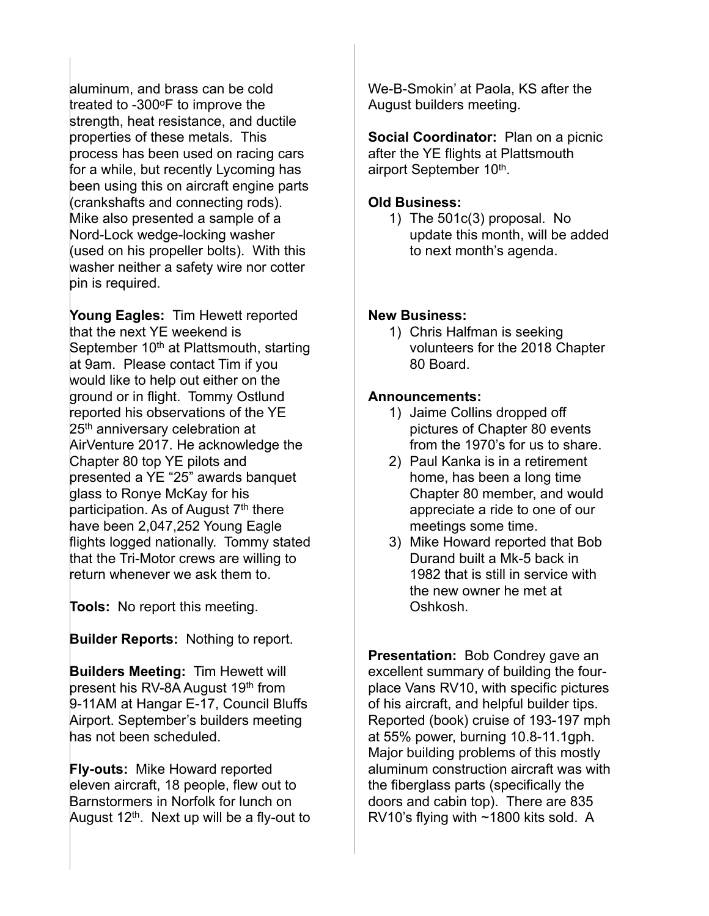aluminum, and brass can be cold treated to -300°F to improve the strength, heat resistance, and ductile properties of these metals. This process has been used on racing cars for a while, but recently Lycoming has been using this on aircraft engine parts (crankshafts and connecting rods). Mike also presented a sample of a Nord-Lock wedge-locking washer (used on his propeller bolts). With this washer neither a safety wire nor cotter pin is required.

**Young Eagles:** Tim Hewett reported that the next YE weekend is September 10<sup>th</sup> at Plattsmouth, starting at 9am. Please contact Tim if you would like to help out either on the ground or in flight. Tommy Ostlund reported his observations of the YE 25<sup>th</sup> anniversary celebration at AirVenture 2017. He acknowledge the Chapter 80 top YE pilots and presented a YE "25" awards banquet glass to Ronye McKay for his participation. As of August  $7<sup>th</sup>$  there have been 2,047,252 Young Eagle flights logged nationally. Tommy stated that the Tri-Motor crews are willing to return whenever we ask them to.

**Tools:** No report this meeting.

**Builder Reports:** Nothing to report.

**Builders Meeting:** Tim Hewett will present his RV-8A August 19th from 9-11AM at Hangar E-17, Council Bluffs Airport. September's builders meeting has not been scheduled.

**Fly-outs:** Mike Howard reported eleven aircraft, 18 people, flew out to Barnstormers in Norfolk for lunch on August  $12<sup>th</sup>$ . Next up will be a fly-out to We-B-Smokin' at Paola, KS after the August builders meeting.

**Social Coordinator:** Plan on a picnic after the YE flights at Plattsmouth airport September 10<sup>th</sup>.

#### **Old Business:**

1) The 501c(3) proposal. No update this month, will be added to next month's agenda.

#### **New Business:**

1) Chris Halfman is seeking volunteers for the 2018 Chapter 80 Board.

#### **Announcements:**

- 1) Jaime Collins dropped off pictures of Chapter 80 events from the 1970's for us to share.
- 2) Paul Kanka is in a retirement home, has been a long time Chapter 80 member, and would appreciate a ride to one of our meetings some time.
- 3) Mike Howard reported that Bob Durand built a Mk-5 back in 1982 that is still in service with the new owner he met at Oshkosh.

**Presentation:** Bob Condrey gave an excellent summary of building the fourplace Vans RV10, with specific pictures of his aircraft, and helpful builder tips. Reported (book) cruise of 193-197 mph at 55% power, burning 10.8-11.1gph. Major building problems of this mostly aluminum construction aircraft was with the fiberglass parts (specifically the doors and cabin top). There are 835 RV10's flying with ~1800 kits sold. A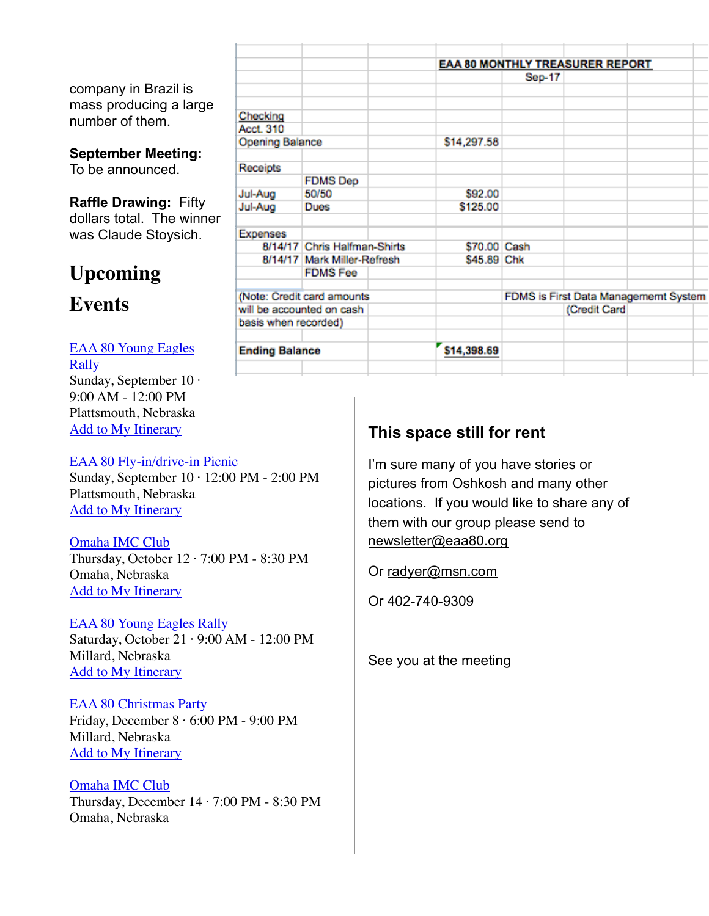company in Brazil is mass producing a large number of them.

### **September Meeting:**

To be announced.

**Raffle Drawing:** Fifty dollars total. The winner was Claude Stoysich.

# **Upcoming**

## **Events**

[EAA 80 Young Eagles](https://www.eaa.org/eaa/event/2017-09-10-EAA_80_Young_Eagles_Rally?id=191AC95ACA8A415D9F6C4BF9661B9F11)  [Rally](https://www.eaa.org/eaa/event/2017-09-10-EAA_80_Young_Eagles_Rally?id=191AC95ACA8A415D9F6C4BF9661B9F11) Sunday, September 10 · 9:00 AM - 12:00 PM Plattsmouth, Nebraska [Add to My Itinerary](https://www.eaa.org/en/eaa/account/accountlogin)

#### [EAA 80 Fly-in/drive-in Picnic](https://www.eaa.org/eaa/event/2017-09-10-EAA_80_Fly-indrive-in_Picnic?id=87E57C00C4EF42769891D940ADC66795)

Sunday, September 10 · 12:00 PM - 2:00 PM Plattsmouth, Nebraska [Add to My Itinerary](https://www.eaa.org/en/eaa/account/accountlogin)

[Omaha IMC Club](https://www.eaa.org/eaa/event/2017-10-12-Omaha_IMC_Club?id=29704E2CE74F4CAA84EAE79F3F93DBDC) Thursday, October  $12 \cdot 7:00$  PM - 8:30 PM Omaha, Nebraska [Add to My Itinerary](https://www.eaa.org/en/eaa/account/accountlogin)

#### [EAA 80 Young Eagles Rally](https://www.eaa.org/eaa/event/2017-10-21-EAA_80_Young_Eagles_Rally?id=F7222734C3DF4E609F3B058AF2B4ED0A) Saturday, October 21 · 9:00 AM - 12:00 PM Millard, Nebraska

[Add to My Itinerary](https://www.eaa.org/en/eaa/account/accountlogin)

#### [EAA 80 Christmas Party](https://www.eaa.org/eaa/event/2017-12-08-EAA_80_Christmas_Party?id=802E4B8F7A06429C947BE6A5A4B53B2C) Friday, December 8 · 6:00 PM - 9:00 PM Millard, Nebraska [Add to My Itinerary](https://www.eaa.org/en/eaa/account/accountlogin)

[Omaha IMC Club](https://www.eaa.org/eaa/event/2017-12-14-Omaha_IMC_Club?id=9BAB18C3F52D4E63A6CF3EA01D43B9D4) Thursday, December 14 · 7:00 PM - 8:30 PM Omaha, Nebraska

|                              |                              | EAA 80 MONTHLY TREASURER REPORT |                                      |              |  |  |
|------------------------------|------------------------------|---------------------------------|--------------------------------------|--------------|--|--|
|                              |                              | Sep-17                          |                                      |              |  |  |
|                              |                              |                                 |                                      |              |  |  |
|                              |                              |                                 |                                      |              |  |  |
| Checking<br><b>Acct. 310</b> |                              |                                 |                                      |              |  |  |
| <b>Opening Balance</b>       |                              | \$14,297.58                     |                                      |              |  |  |
| Receipts                     |                              |                                 |                                      |              |  |  |
|                              | <b>FDMS</b> Dep              |                                 |                                      |              |  |  |
| Jul-Aug                      | 50/50                        | \$92.00                         |                                      |              |  |  |
| Jul-Aug                      | Dues                         | \$125.00                        |                                      |              |  |  |
| <b>Expenses</b>              |                              |                                 |                                      |              |  |  |
|                              | 8/14/17 Chris Halfman-Shirts | \$70.00 Cash                    |                                      |              |  |  |
|                              | 8/14/17 Mark Miller-Refresh  | \$45.89 Chk                     |                                      |              |  |  |
|                              | <b>FDMS Fee</b>              |                                 |                                      |              |  |  |
|                              | (Note: Credit card amounts   |                                 | FDMS is First Data Managememt System |              |  |  |
| will be accounted on cash    |                              |                                 |                                      | (Credit Card |  |  |
| basis when recorded)         |                              |                                 |                                      |              |  |  |
| <b>Ending Balance</b>        |                              | \$14,398.69                     |                                      |              |  |  |
|                              |                              |                                 |                                      |              |  |  |

## **This space still for rent**

I'm sure many of you have stories or pictures from Oshkosh and many other locations. If you would like to share any of them with our group please send to [newsletter@eaa80.org](mailto:newsletter@eaa80.org) 

Or [radyer@msn.com](mailto:radyer@msn.com)

Or 402-740-9309

See you at the meeting